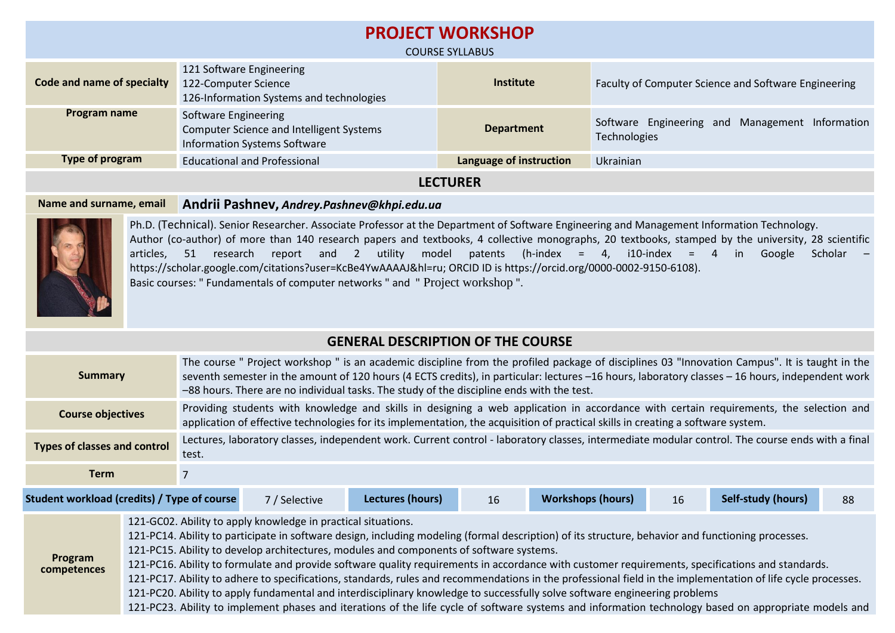| <b>PROJECT WORKSHOP</b><br><b>COURSE SYLLABUS</b> |                                                                                                                |                         |                                                                 |  |  |
|---------------------------------------------------|----------------------------------------------------------------------------------------------------------------|-------------------------|-----------------------------------------------------------------|--|--|
| Code and name of specialty                        | 121 Software Engineering<br>122-Computer Science<br>126-Information Systems and technologies                   | Institute               | Faculty of Computer Science and Software Engineering            |  |  |
| Program name                                      | Software Engineering<br><b>Computer Science and Intelligent Systems</b><br><b>Information Systems Software</b> | <b>Department</b>       | Software Engineering and Management Information<br>Technologies |  |  |
| Type of program                                   | <b>Educational and Professional</b>                                                                            | Language of instruction | Ukrainian                                                       |  |  |
| <b>LECTURER</b>                                   |                                                                                                                |                         |                                                                 |  |  |

### **Name and surname, email Andrii Pashnev,** *Andrey.Pashnev@khpi.edu.ua*



Ph.D. (Technical). Senior Researcher. Associate Professor at the Department of Software Engineering and Management Information Technology. Author (co-author) of more than 140 research papers and textbooks, 4 collective monographs, 20 textbooks, stamped by the university, 28 scientific articles, 51 research report and 2 utility model patents (h-index = 4, i10-index = 4 in Google Scholar – [https://scholar.google.com/citations?user=KcBe4YwAAAAJ&hl=ru;](https://scholar.google.com/citations?user=KcBe4YwAAAAJ&hl=ru) ORCID ID is https://orcid.org/0000-0002-9150-6108). Basic courses: " Fundamentals of computer networks " and " Project workshop ".

## **GENERAL DESCRIPTION OF THE COURSE**

| <b>Summary</b>                      | The course " Project workshop " is an academic discipline from the profiled package of disciplines 03 "Innovation Campus". It is taught in the<br>seventh semester in the amount of 120 hours (4 ECTS credits), in particular: lectures -16 hours, laboratory classes -16 hours, independent work<br>-88 hours. There are no individual tasks. The study of the discipline ends with the test. |  |  |  |  |  |
|-------------------------------------|------------------------------------------------------------------------------------------------------------------------------------------------------------------------------------------------------------------------------------------------------------------------------------------------------------------------------------------------------------------------------------------------|--|--|--|--|--|
| <b>Course objectives</b>            | Providing students with knowledge and skills in designing a web application in accordance with certain requirements, the selection and<br>application of effective technologies for its implementation, the acquisition of practical skills in creating a software system.                                                                                                                     |  |  |  |  |  |
| <b>Types of classes and control</b> | Lectures, laboratory classes, independent work. Current control - laboratory classes, intermediate modular control. The course ends with a final<br>test.                                                                                                                                                                                                                                      |  |  |  |  |  |
| Term                                |                                                                                                                                                                                                                                                                                                                                                                                                |  |  |  |  |  |
|                                     |                                                                                                                                                                                                                                                                                                                                                                                                |  |  |  |  |  |

**Student workload (credits) / Type of course** 7 / Selective **Lectures (hours)** 16 **Workshops (hours)** 16 **Self-study (hours)** 88

**Program competences** 121-GC02. Ability to apply knowledge in practical situations. 121-PC14. Ability to participate in software design, including modeling (formal description) of its structure, behavior and functioning processes. 121-PC15. Ability to develop architectures, modules and components of software systems. 121-PC16. Ability to formulate and provide software quality requirements in accordance with customer requirements, specifications and standards. 121-PC17. Ability to adhere to specifications, standards, rules and recommendations in the professional field in the implementation of life cycle processes. 121-PC20. Ability to apply fundamental and interdisciplinary knowledge to successfully solve software engineering problems 121-PC23. Ability to implement phases and iterations of the life cycle of software systems and information technology based on appropriate models and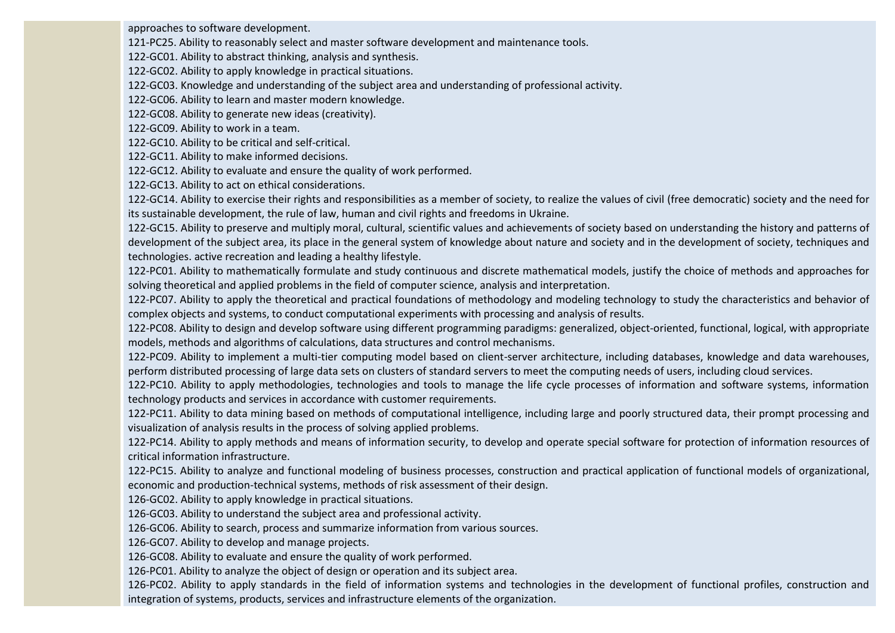approaches to software development.

121-PC25. Ability to reasonably select and master software development and maintenance tools.

122-GC01. Ability to abstract thinking, analysis and synthesis.

122-GC02. Ability to apply knowledge in practical situations.

122-GC03. Knowledge and understanding of the subject area and understanding of professional activity.

122-GC06. Ability to learn and master modern knowledge.

122-GC08. Ability to generate new ideas (creativity).

122-GC09. Ability to work in a team.

122-GC10. Ability to be critical and self-critical.

122-GC11. Ability to make informed decisions.

122-GC12. Ability to evaluate and ensure the quality of work performed.

122-GC13. Ability to act on ethical considerations.

122-GC14. Ability to exercise their rights and responsibilities as a member of society, to realize the values of civil (free democratic) society and the need for its sustainable development, the rule of law, human and civil rights and freedoms in Ukraine.

122-GC15. Ability to preserve and multiply moral, cultural, scientific values and achievements of society based on understanding the history and patterns of development of the subject area, its place in the general system of knowledge about nature and society and in the development of society, techniques and technologies. active recreation and leading a healthy lifestyle.

122-PC01. Ability to mathematically formulate and study continuous and discrete mathematical models, justify the choice of methods and approaches for solving theoretical and applied problems in the field of computer science, analysis and interpretation.

122-PC07. Ability to apply the theoretical and practical foundations of methodology and modeling technology to study the characteristics and behavior of complex objects and systems, to conduct computational experiments with processing and analysis of results.

122-PC08. Ability to design and develop software using different programming paradigms: generalized, object-oriented, functional, logical, with appropriate models, methods and algorithms of calculations, data structures and control mechanisms.

122-PC09. Ability to implement a multi-tier computing model based on client-server architecture, including databases, knowledge and data warehouses, perform distributed processing of large data sets on clusters of standard servers to meet the computing needs of users, including cloud services.

122-PC10. Ability to apply methodologies, technologies and tools to manage the life cycle processes of information and software systems, information technology products and services in accordance with customer requirements.

122-PC11. Ability to data mining based on methods of computational intelligence, including large and poorly structured data, their prompt processing and visualization of analysis results in the process of solving applied problems.

122-PC14. Ability to apply methods and means of information security, to develop and operate special software for protection of information resources of critical information infrastructure.

122-PC15. Ability to analyze and functional modeling of business processes, construction and practical application of functional models of organizational, economic and production-technical systems, methods of risk assessment of their design.

126-GC02. Ability to apply knowledge in practical situations.

126-GC03. Ability to understand the subject area and professional activity.

126-GC06. Ability to search, process and summarize information from various sources.

126-GC07. Ability to develop and manage projects.

126-GC08. Ability to evaluate and ensure the quality of work performed.

126-PC01. Ability to analyze the object of design or operation and its subject area.

126-PC02. Ability to apply standards in the field of information systems and technologies in the development of functional profiles, construction and integration of systems, products, services and infrastructure elements of the organization.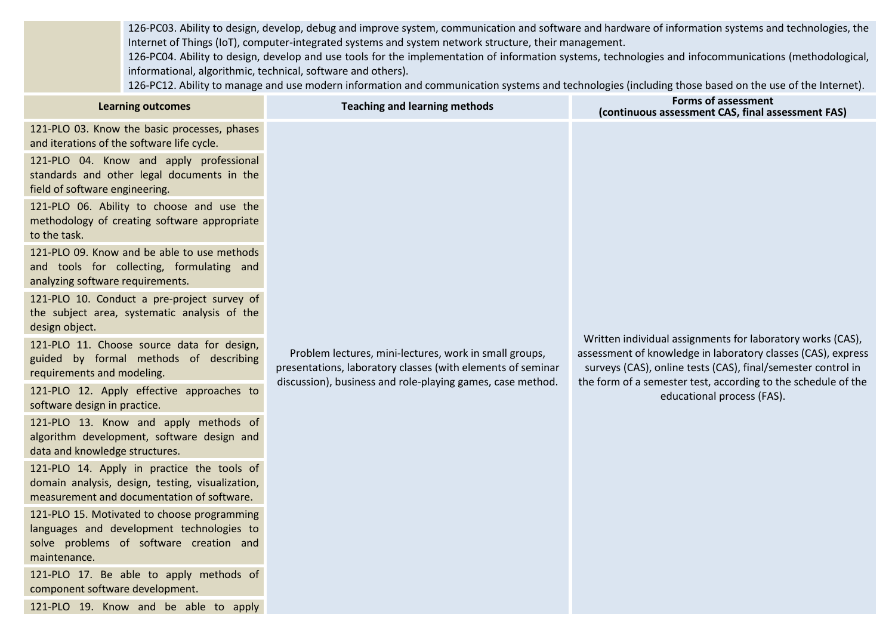126-PC03. Ability to design, develop, debug and improve system, communication and software and hardware of information systems and technologies, the Internet of Things (IoT), computer-integrated systems and system network structure, their management.

126-PC04. Ability to design, develop and use tools for the implementation of information systems, technologies and infocommunications (methodological, informational, algorithmic, technical, software and others).

126-PC12. Ability to manage and use modern information and communication systems and technologies (including those based on the use of the Internet).

| <b>Learning outcomes</b>                                                                                                                            | <b>Teaching and learning methods</b>                                                                                                                                                | <b>Forms of assessment</b><br>(continuous assessment CAS, final assessment FAS)                                                                                                                                                                                                           |  |  |  |
|-----------------------------------------------------------------------------------------------------------------------------------------------------|-------------------------------------------------------------------------------------------------------------------------------------------------------------------------------------|-------------------------------------------------------------------------------------------------------------------------------------------------------------------------------------------------------------------------------------------------------------------------------------------|--|--|--|
| 121-PLO 03. Know the basic processes, phases<br>and iterations of the software life cycle.                                                          |                                                                                                                                                                                     |                                                                                                                                                                                                                                                                                           |  |  |  |
| 121-PLO 04. Know and apply professional<br>standards and other legal documents in the<br>field of software engineering.                             |                                                                                                                                                                                     |                                                                                                                                                                                                                                                                                           |  |  |  |
| 121-PLO 06. Ability to choose and use the<br>methodology of creating software appropriate<br>to the task.                                           |                                                                                                                                                                                     |                                                                                                                                                                                                                                                                                           |  |  |  |
| 121-PLO 09. Know and be able to use methods<br>and tools for collecting, formulating and<br>analyzing software requirements.                        |                                                                                                                                                                                     |                                                                                                                                                                                                                                                                                           |  |  |  |
| 121-PLO 10. Conduct a pre-project survey of<br>the subject area, systematic analysis of the<br>design object.                                       | Problem lectures, mini-lectures, work in small groups,<br>presentations, laboratory classes (with elements of seminar<br>discussion), business and role-playing games, case method. |                                                                                                                                                                                                                                                                                           |  |  |  |
| 121-PLO 11. Choose source data for design,<br>guided by formal methods of describing<br>requirements and modeling.                                  |                                                                                                                                                                                     | Written individual assignments for laboratory works (CAS),<br>assessment of knowledge in laboratory classes (CAS), express<br>surveys (CAS), online tests (CAS), final/semester control in<br>the form of a semester test, according to the schedule of the<br>educational process (FAS). |  |  |  |
| 121-PLO 12. Apply effective approaches to<br>software design in practice.                                                                           |                                                                                                                                                                                     |                                                                                                                                                                                                                                                                                           |  |  |  |
| 121-PLO 13. Know and apply methods of<br>algorithm development, software design and<br>data and knowledge structures.                               |                                                                                                                                                                                     |                                                                                                                                                                                                                                                                                           |  |  |  |
| 121-PLO 14. Apply in practice the tools of<br>domain analysis, design, testing, visualization,<br>measurement and documentation of software.        |                                                                                                                                                                                     |                                                                                                                                                                                                                                                                                           |  |  |  |
| 121-PLO 15. Motivated to choose programming<br>languages and development technologies to<br>solve problems of software creation and<br>maintenance. |                                                                                                                                                                                     |                                                                                                                                                                                                                                                                                           |  |  |  |
| 121-PLO 17. Be able to apply methods of<br>component software development.                                                                          |                                                                                                                                                                                     |                                                                                                                                                                                                                                                                                           |  |  |  |
| 121-PLO 19. Know and be able to apply                                                                                                               |                                                                                                                                                                                     |                                                                                                                                                                                                                                                                                           |  |  |  |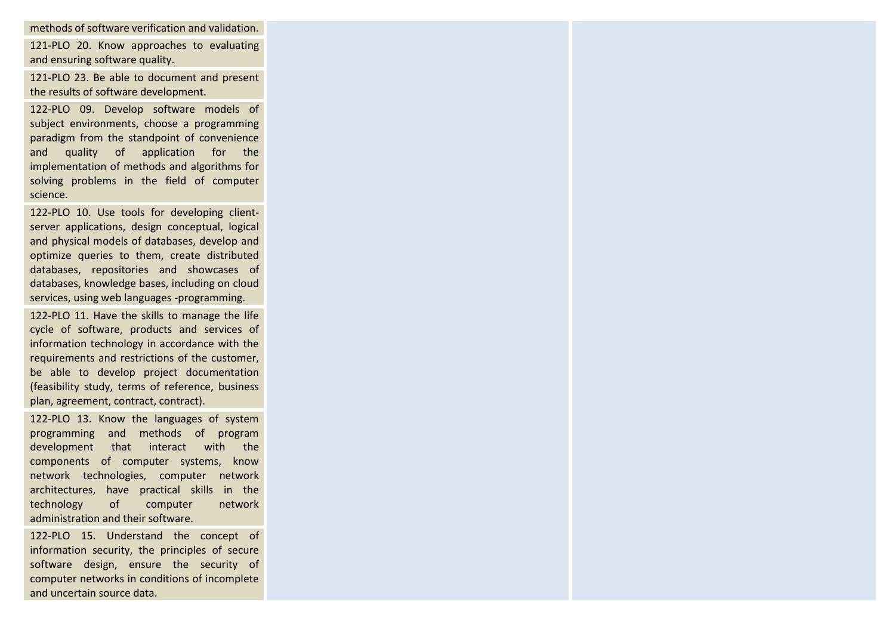methods of software verification and validation.

121-PLO 20. Know approaches to evaluating and ensuring software quality.

121-PLO 23. Be able to document and present the results of software development.

122-PLO 09. Develop software models of subject environments, choose a programming paradigm from the standpoint of convenience and quality of application for the implementation of methods and algorithms for solving problems in the field of computer science.

122-PLO 10. Use tools for developing clientserver applications, design conceptual, logical and physical models of databases, develop and optimize queries to them, create distributed databases, repositories and showcases of databases, knowledge bases, including on cloud services, using web languages -programming.

122-PLO 11. Have the skills to manage the life cycle of software, products and services of information technology in accordance with the requirements and restrictions of the customer, be able to develop project documentation (feasibility study, terms of reference, business plan, agreement, contract, contract).

122-PLO 13. Know the languages of system programming and methods of program development that interact with the components of computer systems, know network technologies, computer network architectures, have practical skills in the technology of computer network administration and their software.

122-PLO 15. Understand the concept of information security, the principles of secure software design, ensure the security of computer networks in conditions of incomplete and uncertain source data.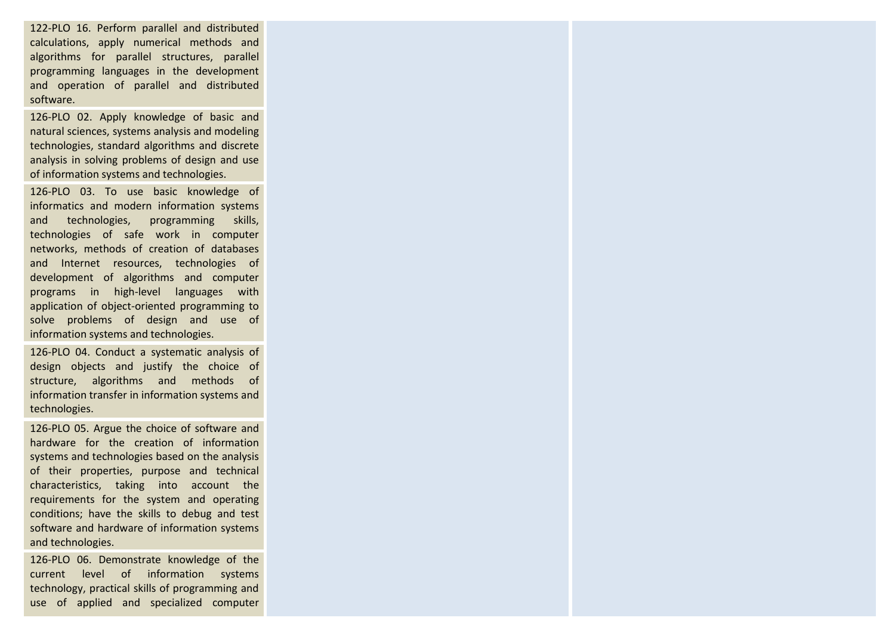122-PLO 16. Perform parallel and distributed calculations, apply numerical methods and algorithms for parallel structures, parallel programming languages in the development and operation of parallel and distributed software.

126-PLO 02. Apply knowledge of basic and natural sciences, systems analysis and modeling technologies, standard algorithms and discrete analysis in solving problems of design and use of information systems and technologies.

126-PLO 03. To use basic knowledge of informatics and modern information systems and technologies, programming skills, technologies of safe work in computer networks, methods of creation of databases and Internet resources, technologies of development of algorithms and computer programs in high-level languages with application of object-oriented programming to solve problems of design and use of information systems and technologies.

126-PLO 04. Conduct a systematic analysis of design objects and justify the choice of structure, algorithms and methods of information transfer in information systems and technologies.

126-PLO 05. Argue the choice of software and hardware for the creation of information systems and technologies based on the analysis of their properties, purpose and technical characteristics, taking into account the requirements for the system and operating conditions; have the skills to debug and test software and hardware of information systems and technologies.

126-PLO 06. Demonstrate knowledge of the current level of information systems technology, practical skills of programming and use of applied and specialized computer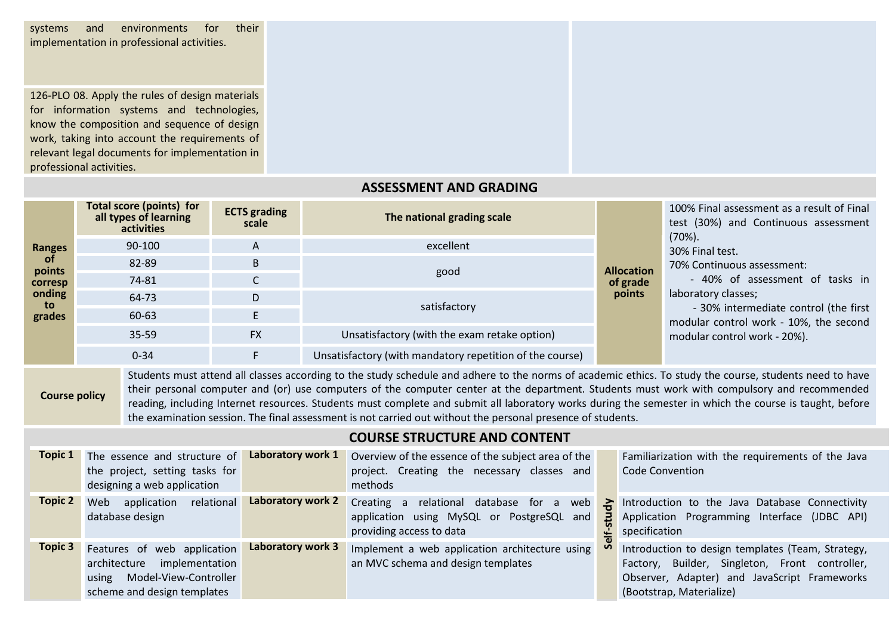systems and environments for their implementation in professional activities.

126-PLO 08. Apply the rules of design materials for information systems and technologies, know the composition and sequence of design work, taking into account the requirements of relevant legal documents for implementation in professional activities.

## **ASSESSMENT AND GRADING**

| <b>Ranges</b><br><b>of</b><br>points<br>corresp | <b>Total score (points) for</b><br>all types of learning<br>activities | <b>ECTS</b> grading<br>scale | The national grading scale                               |                    | 100% Final assessment as a result of Final<br>test (30%) and Continuous assessment<br>$(70\%)$ .<br>30% Final test.<br>70% Continuous assessment:<br>- 40% of assessment of tasks in<br>laboratory classes;<br>- 30% intermediate control (the first<br>modular control work - 10%, the second<br>modular control work - 20%). |
|-------------------------------------------------|------------------------------------------------------------------------|------------------------------|----------------------------------------------------------|--------------------|--------------------------------------------------------------------------------------------------------------------------------------------------------------------------------------------------------------------------------------------------------------------------------------------------------------------------------|
|                                                 | 90-100                                                                 | A                            | excellent                                                |                    |                                                                                                                                                                                                                                                                                                                                |
|                                                 | 82-89                                                                  | B                            | good                                                     | <b>Allocation</b>  |                                                                                                                                                                                                                                                                                                                                |
|                                                 | 74-81                                                                  | $\mathsf{C}$                 |                                                          | of grade<br>points |                                                                                                                                                                                                                                                                                                                                |
| onding<br>to                                    | 64-73                                                                  | D                            | satisfactory                                             |                    |                                                                                                                                                                                                                                                                                                                                |
| grades                                          | 60-63                                                                  |                              |                                                          |                    |                                                                                                                                                                                                                                                                                                                                |
|                                                 | 35-59                                                                  | <b>FX</b>                    | Unsatisfactory (with the exam retake option)             |                    |                                                                                                                                                                                                                                                                                                                                |
|                                                 | $0 - 34$                                                               |                              | Unsatisfactory (with mandatory repetition of the course) |                    |                                                                                                                                                                                                                                                                                                                                |

**Course policy** Students must attend all classes according to the study schedule and adhere to the norms of academic ethics. To study the course, students need to have their personal computer and (or) use computers of the computer center at the department. Students must work with compulsory and recommended reading, including Internet resources. Students must complete and submit all laboratory works during the semester in which the course is taught, before the examination session. The final assessment is not carried out without the personal presence of students.

# **COURSE STRUCTURE AND CONTENT**

| Topic 1        | The essence and structure of<br>the project, setting tasks for<br>designing a web application                                  | Laboratory work 1 | Overview of the essence of the subject area of the<br>project. Creating the necessary classes and<br>methods            |     | Familiarization with the requirements of the Java<br><b>Code Convention</b>                                                                                                     |
|----------------|--------------------------------------------------------------------------------------------------------------------------------|-------------------|-------------------------------------------------------------------------------------------------------------------------|-----|---------------------------------------------------------------------------------------------------------------------------------------------------------------------------------|
| Topic 2        | relational<br>Web<br>application<br>database design                                                                            | Laboratory work 2 | Creating<br>relational database for a web<br>a<br>application using MySQL or PostgreSQL and<br>providing access to data | 2 K | Introduction to the Java Database Connectivity<br>Application Programming Interface (JDBC API)<br>specification                                                                 |
| <b>Topic 3</b> | Features of web application<br>implementation<br>architecture<br>Model-View-Controller<br>using<br>scheme and design templates | Laboratory work 3 | Implement a web application architecture using<br>an MVC schema and design templates                                    |     | Introduction to design templates (Team, Strategy,<br>Factory, Builder, Singleton, Front controller,<br>Observer, Adapter) and JavaScript Frameworks<br>(Bootstrap, Materialize) |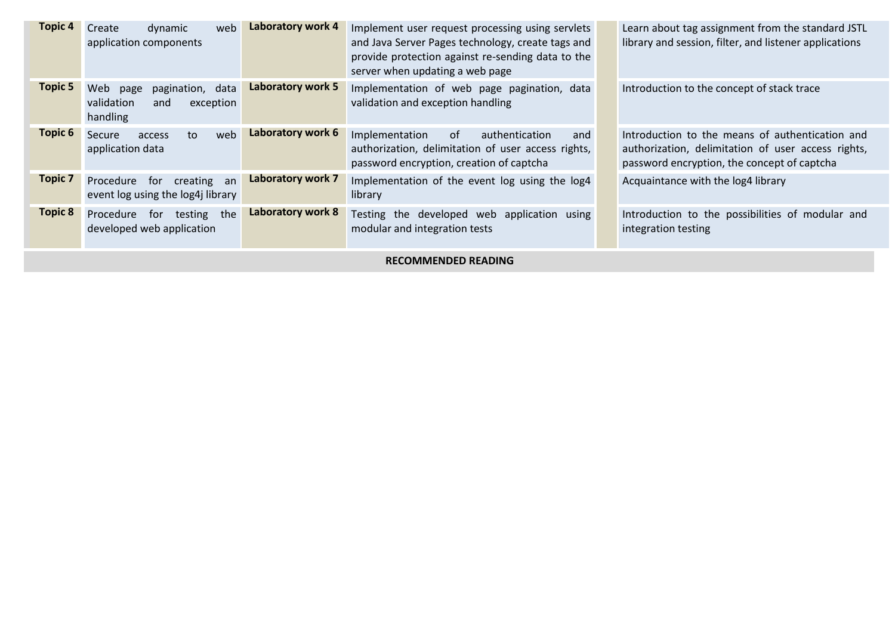| <b>Topic 4</b>             | web<br>Create<br>dynamic<br>application components                               | Laboratory work 4        | Implement user request processing using servlets<br>and Java Server Pages technology, create tags and<br>provide protection against re-sending data to the<br>server when updating a web page |  | Learn about tag assignment from the standard JSTL<br>library and session, filter, and listener applications                                          |
|----------------------------|----------------------------------------------------------------------------------|--------------------------|-----------------------------------------------------------------------------------------------------------------------------------------------------------------------------------------------|--|------------------------------------------------------------------------------------------------------------------------------------------------------|
| <b>Topic 5</b>             | Web<br>data<br>pagination,<br>page<br>validation<br>exception<br>and<br>handling | Laboratory work 5        | Implementation of web page pagination, data<br>validation and exception handling                                                                                                              |  | Introduction to the concept of stack trace                                                                                                           |
| Topic 6                    | web<br>Secure<br>to<br>access<br>application data                                | Laboratory work 6        | 0f<br>Implementation<br>authentication<br>and<br>authorization, delimitation of user access rights,<br>password encryption, creation of captcha                                               |  | Introduction to the means of authentication and<br>authorization, delimitation of user access rights,<br>password encryption, the concept of captcha |
| <b>Topic 7</b>             | for<br>creating an<br>Procedure<br>event log using the log4j library             | Laboratory work 7        | Implementation of the event log using the log4<br>library                                                                                                                                     |  | Acquaintance with the log4 library                                                                                                                   |
| <b>Topic 8</b>             | for testing the<br>Procedure<br>developed web application                        | <b>Laboratory work 8</b> | Testing the developed web application using<br>modular and integration tests                                                                                                                  |  | Introduction to the possibilities of modular and<br>integration testing                                                                              |
| <b>RECOMMENDED READING</b> |                                                                                  |                          |                                                                                                                                                                                               |  |                                                                                                                                                      |